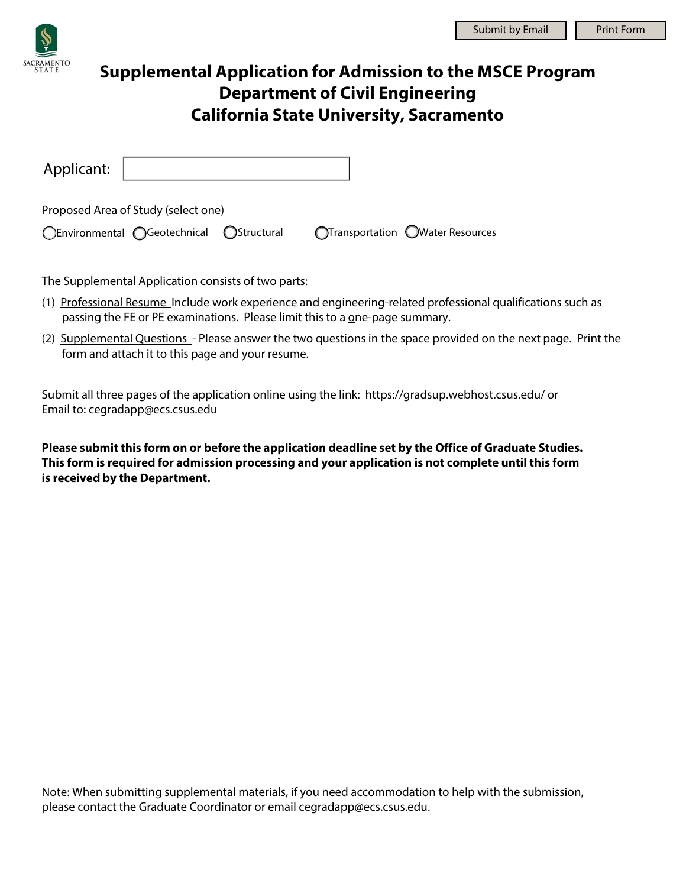## **Supplemental Application for Admission to the MSCE Program Department of Civil Engineering California State University, Sacramento**

| Applicant:                          |                                          |  |  |                                  |
|-------------------------------------|------------------------------------------|--|--|----------------------------------|
| Proposed Area of Study (select one) |                                          |  |  |                                  |
|                                     | ○Environmental ○Geotechnical ○Structural |  |  | OTransportation OWater Resources |

The Supplemental Application consists of two parts:

- (1) Professional Resume Include work experience and engineering-related professional qualifications such as passing the FE or PE examinations. Please limit this to a one-page summary.
- (2) Supplemental Questions Please answer the two questions in the space provided on the next page. Print the form and attach it to this page and your resume.

Submit all three pages of the application online using the link: <https://gradsup.webhost.csus.edu/> or Email to: cegradapp@ecs.csus.edu

**Please submit this form on or before the application deadline set by the Office of Graduate Studies. This form is required for admission processing and your application is not complete until this form is received by the Department.** 

Note: When submitting supplemental materials, if you need accommodation to help with the submission, please contact the Graduate Coordinator or email cegradapp@ecs.csus.edu.